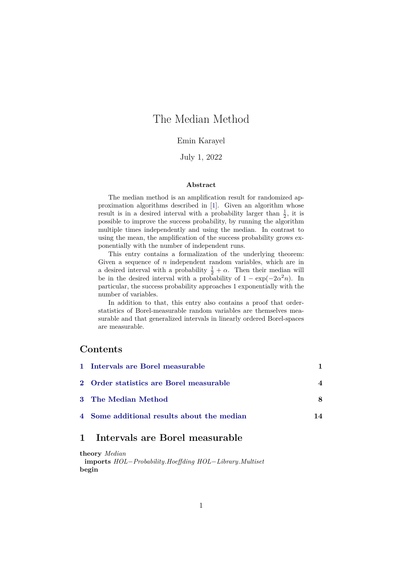# The Median Method

### Emin Karayel

### July 1, 2022

### **Abstract**

The median method is an amplification result for randomized approximation algorithms described in [\[1\]](#page-14-0). Given an algorithm whose result is in a desired interval with a probability larger than  $\frac{1}{2}$ , it is possible to improve the success probability, by running the algorithm multiple times independently and using the median. In contrast to using the mean, the amplification of the success probability grows exponentially with the number of independent runs.

This entry contains a formalization of the underlying theorem: Given a sequence of  $n$  independent random variables, which are in a desired interval with a probability  $\frac{1}{2} + \alpha$ . Then their median will be in the desired interval with a probability of  $1 - \exp(-2\alpha^2 n)$ . In particular, the success probability approaches 1 exponentially with the number of variables.

In addition to that, this entry also contains a proof that orderstatistics of Borel-measurable random variables are themselves measurable and that generalized intervals in linearly ordered Borel-spaces are measurable.

## **Contents**

| 1 Intervals are Borel measurable           |    |
|--------------------------------------------|----|
| 2 Order statistics are Borel measurable    |    |
| 3 The Median Method                        |    |
| 4 Some additional results about the median | 14 |

## <span id="page-0-0"></span>**1 Intervals are Borel measurable**

**theory** *Median* **imports** *HOL*−*Probability*.*Hoeffding HOL*−*Library*.*Multiset* **begin**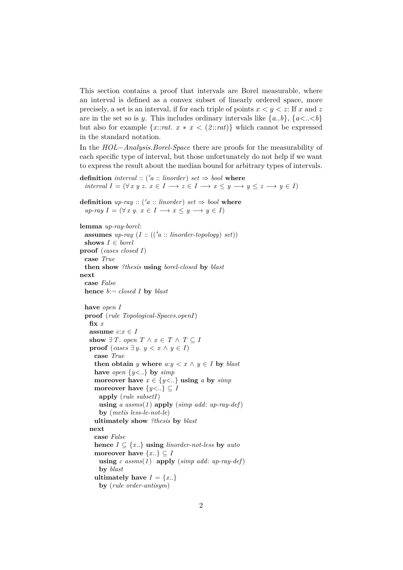This section contains a proof that intervals are Borel measurable, where an interval is defined as a convex subset of linearly ordered space, more precisely, a set is an interval, if for each triple of points  $x < y < z$ : If x and z are in the set so is y. This includes ordinary intervals like  $\{a..b\}, \{a < .\lt b\}$ but also for example  $\{x::rat. \ x * x < (2::rat)\}\$  which cannot be expressed in the standard notation.

In the *HOL*−*Analysis*.*Borel-Space* there are proofs for the measurability of each specific type of interval, but those unfortunately do not help if we want to express the result about the median bound for arbitrary types of intervals.

```
definition interval :: ('a :: linorder) set \Rightarrow bool where
   interval I = (\forall x \ y \ z. \ x \in I \longrightarrow z \in I \longrightarrow x \leq y \longrightarrow y \leq z \longrightarrow y \in I)
```

```
definition up\text{-}ray :: ('a :: linorder) set \Rightarrow bool where
   up\text{-}ray\ I = (\forall x \ y. \ x \in I \longrightarrow x \leq y \longrightarrow y \in I)
```

```
lemma up-ray-borel:
 assumes up\text{-}ray (I :: (('a :: linorder-topology) set))
 shows I \in <i>borel</i>proof (cases closed I)
 case True
 then show ?thesis using borel-closed by blast
next
 case False
 hence b:¬ closed I by blast
 have open I
  proof (rule Topological-Spaces.openI)
   fix x
   assume c: x \in Ishow \exists T. open T \wedge x \in T \wedge T \subseteq Iproof (cases \exists y. y < x \land y \in I)case True
     then obtain y where a: y < x \land y \in I by blast
     have open \{y \leq \ldots\} by simp
     moreover have x \in \{y \leq \ldots\} using a by simp
     moreover have \{y \leq \ldots\} \subseteq Iapply (rule subsetI)
       using a assms(1 ) apply (simp add: up-ray-def)
       by (metis less-le-not-le)
     ultimately show ?thesis by blast
   next
     case False
     hence I \subseteq \{x..\} using linorder-not-less by auto
     moreover have \{x..\}\subseteq Iusing c assms(1 ) apply (simp add: up-ray-def)
       by blast
     ultimately have I = \{x..\}by (rule order-antisym)
```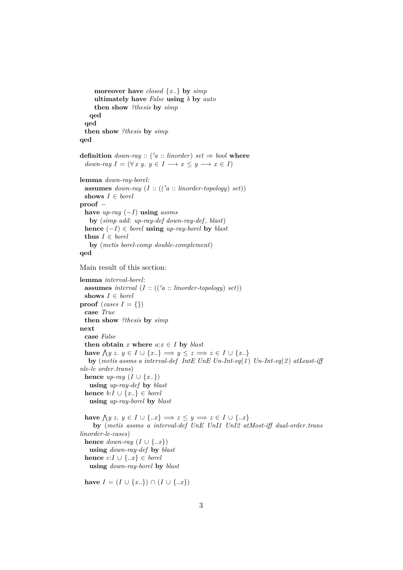```
moreover have closed {x..} by simp
     ultimately have False using b by auto
     then show ?thesis by simp
   qed
 qed
 then show ?thesis by simp
qed
definition down-ray :: ('a :: linorder) set \Rightarrow bool where
  down-ray I = (\forall x \ y, \ y \in I \longrightarrow x \le y \longrightarrow x \in I)lemma down-ray-borel:
 assumes down-ray (I:: ((a::<i>linear-topology</i>) set))shows I ∈ borel
proof −
 have up-ray (−I) using assms
   by (simp add: up-ray-def down-ray-def , blast)
 hence (-I) ∈ borel using up-ray-borel by blast
 thus I \in borelby (metis borel-comp double-complement)
qed
Main result of this section:
lemma interval-borel:
 assumes interval (I:: ((a::linorder-topology) set))shows I ∈ borel
proof (cases I = {})
 case True
 then show ?thesis by simp
next
 case False
 then obtain x where a: x \in I by \text{blast}have \bigwedge y z. y \in I ∪ {x..} \implies y \leq z \implies z \in I ∪ {x..}
   by (metis assms a interval-def IntE UnE Un-Int-eq(1 ) Un-Int-eq(2 ) atLeast-iff
nle-le order.trans)
 hence up\text{-}ray (I \cup \{x..\})
   using up-ray-def by blast
 hence b: I \cup \{x.\}\in \text{borel}using up-ray-borel by blast
  have \bigwedge y z. y \in I ∪ {..x} \implies z \leq y \implies z \in I ∪ {..x}
    by (metis assms a interval-def UnE UnI1 UnI2 atMost-iff dual-order .trans
linorder-le-cases)
 hence down-ray (I \cup \{..x\})using down-ray-def by blast
 hence c: I \cup \{..x\} \in borelusing down-ray-borel by blast
```
**have**  $I = (I \cup \{x..\}) \cap (I \cup \{..x\})$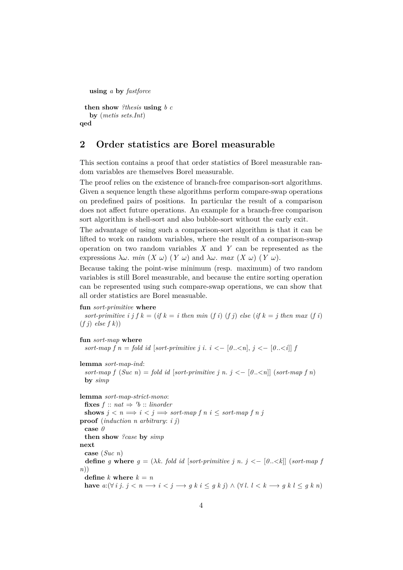```
using a by fastforce
```

```
then show ?thesis using b c
   by (metis sets.Int)
qed
```
## <span id="page-3-0"></span>**2 Order statistics are Borel measurable**

This section contains a proof that order statistics of Borel measurable random variables are themselves Borel measurable.

The proof relies on the existence of branch-free comparison-sort algorithms. Given a sequence length these algorithms perform compare-swap operations on predefined pairs of positions. In particular the result of a comparison does not affect future operations. An example for a branch-free comparison sort algorithm is shell-sort and also bubble-sort without the early exit.

The advantage of using such a comparison-sort algorithm is that it can be lifted to work on random variables, where the result of a comparison-swap operation on two random variables *X* and *Y* can be represented as the expressions  $\lambda \omega$ . *min*  $(X \omega)$   $(Y \omega)$  and  $\lambda \omega$ . *max*  $(X \omega)$   $(Y \omega)$ .

Because taking the point-wise minimum (resp. maximum) of two random variables is still Borel measurable, and because the entire sorting operation can be represented using such compare-swap operations, we can show that all order statistics are Borel measuable.

#### **fun** *sort-primitive* **where**

*sort-primitive i j f k* = (*if k* = *i then min* (*f i*) (*f j*) *else* (*if k* = *j then max* (*f i*) (*f j*) *else f k*))

```
fun sort-map where
 sort-map f n = fold id [sort-primitive j i. i < - [0..<n], j < - [0..<i]] <i>f
```
**lemma** *sort-map-ind*: *sort-map f*  $(Suc\ n) = fold\ id\ [sort-primitive\ j\ n\ j < -\ [0..*n*]]\ (sort-map\ f\ n)$ **by** *simp*

**lemma** *sort-map-strict-mono*:  $\textbf{fixes } f :: nat \Rightarrow 'b :: \textit{linorder}$ **shows**  $j < n \implies i < j \implies sort-map \ f \ n \ i < sort-map \ f \ n \ j$ **proof** (*induction n arbitrary*: *i j*) **case** *0* **then show** *?case* **by** *simp* **next case** (*Suc n*) **define** *g* **where**  $g = (\lambda k \text{. fold id } [sort-primitive j n. j < -[0..\leq k]] (sort-map f)$ *n*)) **define**  $k$  **where**  $k = n$ **have**  $a: (\forall i \ j, j \leq n \rightarrow i \leq j \rightarrow g \ k \ i \leq g \ k \ j) \wedge (\forall l, l \leq k \rightarrow g \ k \ l \leq g \ k \ n)$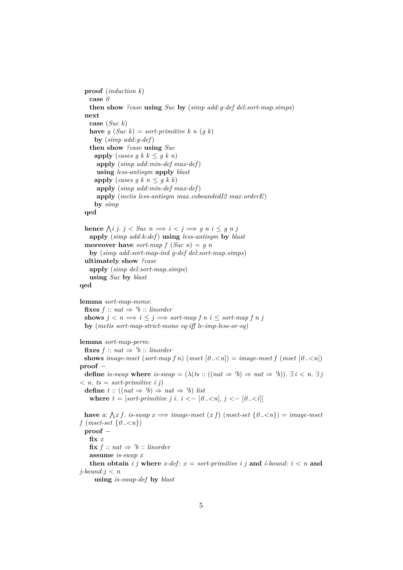```
proof (induction k)
 case 0
 then show ?case using Suc by (simp add:g-def del:sort-map.simps)
next
 case (Suc k)
 have g(Suc k) = sort-primitive k n (g k)by (simp add:g-def)
 then show ?case using Suc
  apply (cases g k k \leq g k n)
   apply (simp add:min-def max-def)
   using less-antisym apply blast
   apply (cases g k n \leq g k k)
   apply (simp add:min-def max-def)
   apply (metis less-antisym max.coboundedI2 max.orderE)
   by simp
qed
```

```
hence \bigwedgei j. j < Suc n \implies i < j \implies g n i \leq g n japply (simp add:k-def) using less-antisym by blast
moreover have sort-map f (Suc n) = g nby (simp add:sort-map-ind g-def del:sort-map.simps)
ultimately show ?case
 apply (simp del:sort-map.simps)
 using Suc by blast
```
### **qed**

**lemma** *sort-map-mono*:  $\textbf{fixes } f :: nat \Rightarrow 'b :: \textit{linorder}$ **shows**  $j < n \implies i \leq j \implies sort\text{-}map \text{ } f \text{ } n \text{ } i \leq sort\text{-}map \text{ } f \text{ } n \text{ } j$ **by** (*metis sort-map-strict-mono eq-iff le-imp-less-or-eq*)

### **lemma** *sort-map-perm*:

 $\textbf{fixes } f :: nat \Rightarrow 'b :: \textit{linorder}$ **shows** *image-mset* (*sort-map f n*) (*mset*  $[0..\le n]$ ) = *image-mset f* (*mset*  $[0..\le n]$ ) **proof** − **define** *is-swap* where *is-swap* =  $(\lambda (ts::((nat \Rightarrow 'b) \Rightarrow nat \Rightarrow 'b))$ .  $\exists i < n$ .  $\exists j$  $\langle n, ts = sort-primitive \; i \; j \rangle$ **define**  $t$  :: ((nat  $\Rightarrow$  'b)  $\Rightarrow$  nat  $\Rightarrow$  'b) *list* **where**  $t = [sort-primitive \, j \, i \, i \, \langle -[0.. \langle n], j \, \langle -[0.. \langle i]]]$ **have** a:  $\bigwedge x$  f. *is-swap*  $x \implies \text{image-mset}(x)$  (mset-set  $\{0..\leq n\}) = \text{image-mset}$ *f* (*mset-set*  $\{0..\leq n\}$ ) **proof** − **fix** *x*

 $\textbf{fix } f :: nat \Rightarrow 'b :: \textit{linorder}$ 

**assume** *is-swap x*

**then obtain** *i j* **where**  $x$ -def:  $x = sort$ -primitive *i j* **and** *i*-bound:  $i < n$  **and** *j-bound*:*j* < *n*

**using** *is-swap-def* **by** *blast*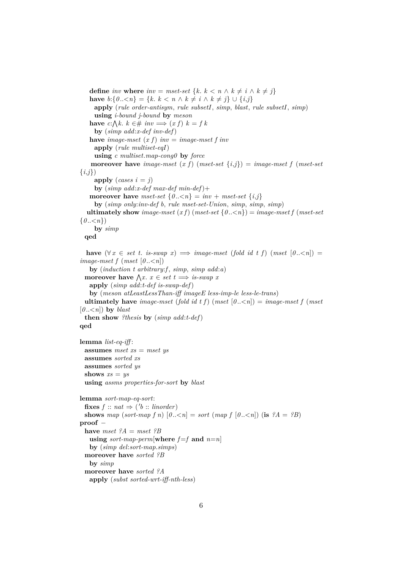```
define inv where inv = mset-set {k. k < n \wedge k \neq i \wedge k \neq j}
   have b:\{0..<n\} = \{k\colon k < n \land k \neq i \land k \neq j\} ∪ \{i,j\}apply (rule order-antisym, rule subsetI, simp, blast, rule subsetI, simp)
     using i-bound j-bound by meson
   have c:\bigwedge k. k \in \mathcal{H} inv \implies (x f) k = f kby (simp add:x-def inv-def)
   have image-mset (x f) inv = image-mset f inv
     apply (rule multiset-eqI)
     using c multiset.map-cong0 by force
    moreover have image-mset (x f) (mset-set \{i,j\}) = image-mset f (mset-set
{i,j})
     apply (cases i = j)by (simp add:x-def max-def min-def)+
   moreover have mset-set \{0..\leq n\} = inv + mset-set \{i,j\}by (simp only:inv-def b, rule mset-set-Union, simp, simp, simp)
  ultimately show image-mset (x f) (mset-set \{0, \langle n \rangle\} = \{image\} image-mset f (mset-set
\{0, \lt n\}by simp
 qed
  have (\forall x \in set t. is-swap x) \implies \text{image-mset} (fold id t f) (mset [0..\leq n]) =
image-mset f (mset [0...
   by (induction t arbitrary:f , simp, simp add:a)
  moreover have \bigwedge x \colon x \in set \ t \Longrightarrow \text{is-swap } xapply (simp add:t-def is-swap-def)
   by (meson atLeastLessThan-iff imageE less-imp-le less-le-trans)
 ultimately have image-mset (fold id t f) (mset [0..\leq n]) = image-mset f (mset
[0,-\infty] by blast
 then show ?thesis by (simp add:t-def)
qed
lemma list-eq-iff :
 assumes mset xs = mset ys
 assumes sorted xs
 assumes sorted ys
 shows xs = ysusing assms properties-for-sort by blast
lemma sort-map-eq-sort:
  \textbf{fixes } f :: nat \Rightarrow ('b :: \textit{linorder})shows map (sort-map f n) [0,-\leq n] = sort \text{ (map } f [0,-\leq n] \text{ (is } ?A = ?B)proof −
 have mset ?A = mset ?Busing sort-map-perm[where f=f and n=n]
   by (simp del:sort-map.simps)
 moreover have sorted ?B
   by simp
  moreover have sorted ?A
   apply (subst sorted-wrt-iff-nth-less)
```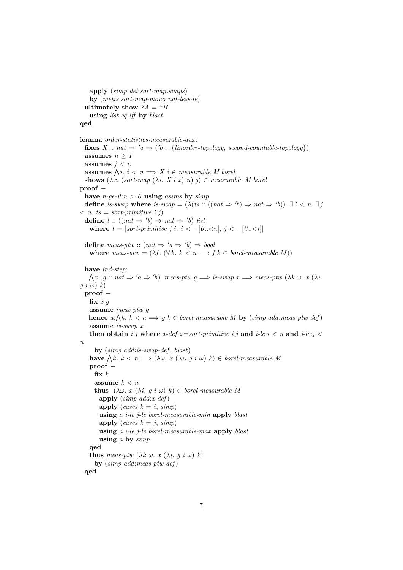**apply** (*simp del*:*sort-map*.*simps*) **by** (*metis sort-map-mono nat-less-le*) **ultimately show**  $?A = ?B$ **using** *list-eq-iff* **by** *blast* **qed lemma** *order-statistics-measurable-aux*:  $\textbf{fixes } X :: \textit{nat} \Rightarrow 'a \Rightarrow ('b :: \{ \textit{linorder-topology}, \textit{second-countable-topology} \})$ assumes  $n \geq 1$ assumes  $j < n$ **assumes**  $\bigwedge i : i < n \Longrightarrow X \, i \in measurable \, M \, borei$ **shows**  $(\lambda x. (sort-map  $(\lambda i. X i x) n)$   $j) \in measurable M$  *borel*$ **proof** − have  $n-ge-0:n > 0$  **using** *assms* by *simp* **define** *is-swap* where *is-swap* =  $(\lambda (ts::((nat \Rightarrow 'b) \Rightarrow nat \Rightarrow 'b))$ .  $\exists i < n$ .  $\exists j$  $\langle n, ts = sort-primitive \; i \; j \rangle$ **define**  $t$  :: ((nat  $\Rightarrow$  'b)  $\Rightarrow$  nat  $\Rightarrow$  'b) *list* **where**  $t = [sort-primitive \, j \, i \, i \, \langle -[0..,1] \, j \, \langle -[0..,1] \, j \, \rangle]$ **define**  $meas\text{-}ptw :: (nat \Rightarrow 'a \Rightarrow 'b) \Rightarrow bool$ **where**  $meas\text{-}ptw = (\lambda f \colon (\forall k \colon k < n \longrightarrow f \text{ } k \in \text{ borel-measurable } M))$ **have** *ind-step*:  $\bigwedge x$  (g:  $nat \Rightarrow 'a \Rightarrow 'b)$ . *meas-ptw*  $g \Longrightarrow is-swap \ x \Longrightarrow meas-ptw \ (\lambda k \ \omega. \ x \ (\lambda i \cdot$  $g(i \omega) k$ **proof** − **fix** *x g* **assume** *meas-ptw g* **hence**  $a:\bigwedge k, k < n \Longrightarrow g \ k \in \text{borel-measurable } M$  **by**  $(\text{simp add:} \text{meas-} \text{ptw-def})$ **assume** *is-swap x* **then obtain** i j where  $x$ -def: $x$ =sort-primitive i j and *i*-le: $i < n$  and  $j$ -le: $j <$ *n* **by** (*simp add*:*is-swap-def* , *blast*) **have**  $\bigwedge k \colon k < n \Longrightarrow (\lambda \omega \colon x \ (\lambda i \colon g \ i \ \omega) \ k) \in \text{borel-measurable } M$ **proof** − **fix** *k* **assume** *k* < *n* **thus**  $(\lambda \omega, x (\lambda i, g i \omega) k) \in borel-measurable M$ **apply** (*simp add*:*x-def*) **apply** (*cases*  $k = i$ , *simp*) **using** *a i-le j-le borel-measurable-min* **apply** *blast* **apply** (*cases*  $k = j$ , *simp*) **using** *a i-le j-le borel-measurable-max* **apply** *blast* **using** *a* **by** *simp* **qed thus** *meas-ptw*  $(\lambda k \omega, x (\lambda i, q i \omega) k)$ **by** (*simp add*:*meas-ptw-def*) **qed**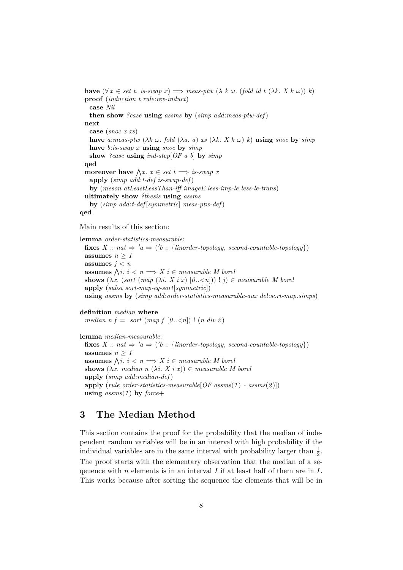**have**  $(\forall x \in set t.$  *is-swap*  $x) \implies meas\text{-}ptw \ (\lambda \ k \ \omega. \ (fold \ id \ t \ (\lambda \ k \ X \ k \ \omega)) \ k)$ **proof** (*induction t rule*:*rev-induct*) **case** *Nil* **then show** *?case* **using** *assms* **by** (*simp add*:*meas-ptw-def*) **next case** (*snoc x xs*) **have** *a*:*meas-ptw* ( $\lambda k$   $\omega$ , *fold* ( $\lambda a$ , *a*) *xs* ( $\lambda k$ , *X*  $k$   $\omega$ ) *k*) **using** *snoc* **by** *simp* **have** *b*:*is-swap x* **using** *snoc* **by** *simp* **show** *?case* **using** *ind-step*[*OF a b*] **by** *simp* **qed moreover have**  $\bigwedge x$ .  $x \in set$   $t \implies$  *is-swap* x **apply** (*simp add*:*t-def is-swap-def*) **by** (*meson atLeastLessThan-iff imageE less-imp-le less-le-trans*) **ultimately show** *?thesis* **using** *assms* **by** (*simp add*:*t-def* [*symmetric*] *meas-ptw-def*) **qed**

Main results of this section:

**lemma** *order-statistics-measurable*:  $\textbf{fixes } X :: nat \Rightarrow 'a \Rightarrow ('b :: \{linorder-topology, second-countable-topology\})$ **assumes**  $n \geq 1$ assumes  $j < n$ **assumes**  $\bigwedge i : i < n \Longrightarrow X \, i \in measurable \, M \, borei$ **shows**  $(\lambda x. \text{ (sort } (map \ (\lambda i. \ X \ i \ x) \ [0..< n])) ! j) \in measurable \ M \ borel$ **apply** (*subst sort-map-eq-sort*[*symmetric*]) **using** *assms* **by** (*simp add*:*order-statistics-measurable-aux del*:*sort-map*.*simps*)

**definition** *median* **where** *median n f* = *sort* (*map f* [0...,  $n$ ]) ! (*n div 2*)

**lemma** *median-measurable*:  $\textbf{fixes } X :: \textit{nat} \Rightarrow 'a \Rightarrow ('b :: \{ \textit{linorder-topology}, \textit{second-countable-topology} \})$ assumes  $n \geq 1$ **assumes**  $\bigwedge i : i < n \Longrightarrow X \, i \in measurable \, M \, borei$ **shows**  $(\lambda x$ . *median*  $n (\lambda i \times x) \in$  *measurable* M *borel* **apply** (*simp add*:*median-def*) **apply** (*rule order-statistics-measurable*[*OF assms*(*1* ) *- assms*(*2* )]) **using** *assms*(*1* ) **by** *force*+

## <span id="page-7-0"></span>**3 The Median Method**

This section contains the proof for the probability that the median of independent random variables will be in an interval with high probability if the individual variables are in the same interval with probability larger than  $\frac{1}{2}$ . The proof starts with the elementary observation that the median of a sequence with n elements is in an interval I if at least half of them are in I. This works because after sorting the sequence the elements that will be in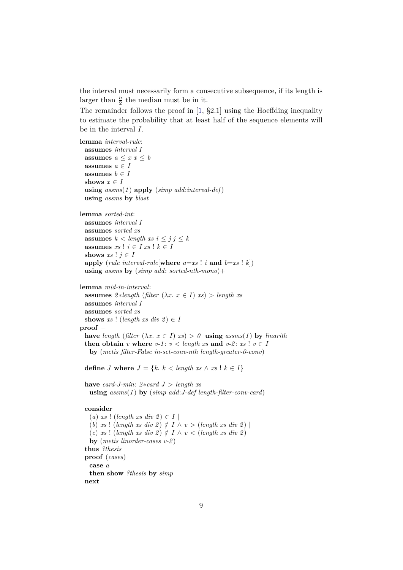the interval must necessarily form a consecutive subsequence, if its length is larger than  $\frac{n}{2}$  the median must be in it.

The remainder follows the proof in [\[1,](#page-14-0) §2.1] using the Hoeffding inequality to estimate the probability that at least half of the sequence elements will be in the interval I.

```
lemma interval-rule:
 assumes interval I
 assumes a \leq x \leq bassumes a \in Iassumes b \in Ishows x \in Iusing assms(1 ) apply (simp add:interval-def)
 using assms by blast
lemma sorted-int:
 assumes interval I
 assumes sorted xs
 assumes k < length xs i \leq j j \leq kassumes xs ! i \in I xs ! k \in Ishows xs ! j \in Iapply (rule interval-rule[where a=xs ! i and b=xs ! k])
 using assms by (simp add: sorted-nth-mono)+
lemma mid-in-interval:
 assumes 2 * length (filter (\lambda x. x \in I) xs) > length xsassumes interval I
 assumes sorted xs
 shows xs ! (length xs div 2) \in I
proof −
 have length (filter (\lambda x \cdot x \in I) xs) > 0 using assms(1) by linarith
 then obtain v where v-1: v < length xs and v-2: xs ! v \in Iby (metis filter-False in-set-conv-nth length-greater-0-conv)
 define J where J = \{k \mid k \leq \text{length } xs \land xs \mid k \in I\}have card-J-min: 2 * card J > length xsusing assms(1 ) by (simp add:J-def length-filter-conv-card)
 consider
   (a) xs ! (length xs div 2) \in I |
   (b) xs ! (length xs div 2) \notin I \wedge v > (length xs div 2) |
   (c) xs ! (length xs div 2) \notin I \wedge v < (length xs div 2)
   by (metis linorder-cases v-2 )
 thus ?thesis
 proof (cases)
   case a
   then show ?thesis by simp
```
**next**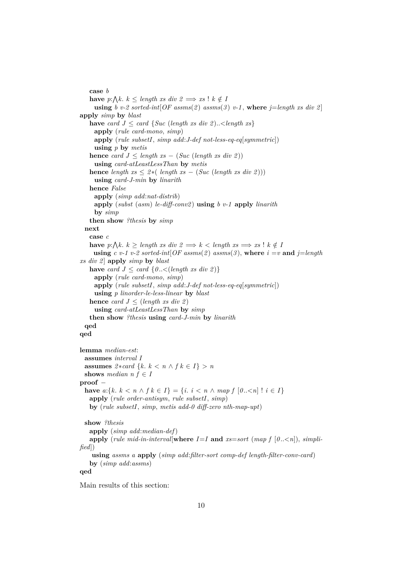**case** *b* **have**  $p:\bigwedge k.$   $k \leq length \leq x$  *div*  $2 \implies xs \leq k \notin B$ **using** *b v*-2 sorted-int $[OF\;assms(2)\;assms(3)\;v-1$ , where  $j=length\;xs\;div\;2]$ **apply** *simp* **by** *blast* **have** *card*  $J \leq \text{card } \{ \text{Suc } (\text{length } xs \text{ div } 2) \dots \leq \text{length } xs \}$ **apply** (*rule card-mono*, *simp*) **apply** (*rule subsetI*, *simp add*:*J-def not-less-eq-eq*[*symmetric*]) **using** *p* **by** *metis* **hence** *card*  $J \leq \text{length } xs - (\text{Suc } (\text{length } xs \text{ div } 2))$ **using** *card-atLeastLessThan* **by** *metis* **hence** *length xs*  $\leq 2*($  *length xs*  $- (Suc (length xs div 2)))$ **using** *card-J-min* **by** *linarith* **hence** *False* **apply** (*simp add*:*nat-distrib*) **apply** (*subst* (*asm*) *le-diff-conv2* ) **using** *b v-1* **apply** *linarith* **by** *simp* **then show** *?thesis* **by** *simp* **next case** *c* **have**  $p:\bigwedge k.$   $k \geq length \text{ as } \text{div } 2 \implies k < length \text{ as } \implies \text{xs } ! k \notin P$ **using**  $c$   $v$ -1  $v$ -2 sorted-int $[OF\, assumes(2)$  assms $(3)$ , where  $i = v$  and  $j = length$ *xs div 2* ] **apply** *simp* **by** *blast* **have** *card*  $J \leq \text{card } \{0 \leq \text{ length } xs \text{ div } 2) \}$ **apply** (*rule card-mono*, *simp*) **apply** (*rule subsetI*, *simp add*:*J-def not-less-eq-eq*[*symmetric*]) **using** *p linorder-le-less-linear* **by** *blast* **hence** *card*  $J \leq (length \; xs \; div \; 2)$ **using** *card-atLeastLessThan* **by** *simp* **then show** *?thesis* **using** *card-J-min* **by** *linarith* **qed qed lemma** *median-est*: **assumes** *interval I* **assumes**  $2 * card \{k, k < n \wedge f k \in I\} > n$ **shows** *median*  $n f \in I$ **proof** − **have**  $a:\{k, k < n \land f k \in I\} = \{i, i < n \land map f \mid 0..< n\}$ !  $i \in I\}$ **apply** (*rule order-antisym*, *rule subsetI*, *simp*) **by** (*rule subsetI*, *simp*, *metis add-0 diff-zero nth-map-upt*) **show** *?thesis* **apply** (*simp add*:*median-def*) **apply** (*rule mid-in-interval*[**where**  $I=I$  **and**  $xs= sort$  (*map*  $f$  [ $0$ ... *fied*]) **using** *assms a* **apply** (*simp add*:*filter-sort comp-def length-filter-conv-card*) **by** (*simp add*:*assms*) **qed**

Main results of this section: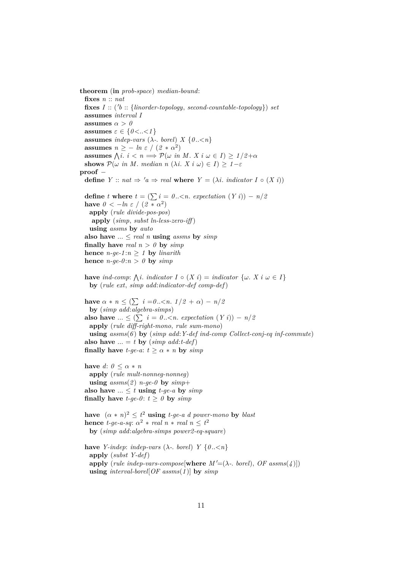**theorem** (**in** *prob-space*) *median-bound*: **fixes** *n* :: *nat*  $fixes I :: ('b :: \{linorder-topology, second-countable-topology\})$  *set* **assumes** *interval I* **assumes**  $\alpha > 0$ **assumes**  $\varepsilon \in \{0 \lt \ldots \lt 1\}$ **assumes** *indep-vars* ( $\lambda$ -. *borel*)  $X \{0..< n\}$ **assumes**  $n \ge -ln \varepsilon / (2 * \alpha^2)$ **assumes**  $\bigwedge i : i < n \Longrightarrow \mathcal{P}(\omega \text{ in } M \text{ and } X \text{ is } \omega \in I) \geq 1/2 + \alpha$ **shows**  $\mathcal{P}(\omega \text{ in } M. \text{ median } n \ (\lambda i. \ X \text{ i } \omega) \in I) \geq 1 - \varepsilon$ **proof** − **define**  $Y :: nat \Rightarrow 'a \Rightarrow real$  **where**  $Y = (\lambda i \cdot indicator I \circ (X i))$ **define** *t* **where**  $t = (\sum i = 0..< n$ . *expectation*  $(Y i)) - n/2$ **have**  $0 < -\ln \varepsilon / (2 * \alpha^2)$ **apply** (*rule divide-pos-pos*) **apply** (*simp*, *subst ln-less-zero-iff* ) **using** *assms* **by** *auto* also have  $\ldots \leq$  *real n* **using** *assms* by *simp* **finally have** *real*  $n > 0$  **by**  $simp$ **hence**  $n-ge-1:n \geq 1$  **by** *linarith* **hence**  $n-ge-0:n > 0$  **by**  $simp$ **have** *ind-comp*:  $\bigwedge$ *i*. *indicator*  $I \circ (X \ i) = \text{indicator } \{ \omega \ X \ i \ \omega \in I \}$ **by** (*rule ext*, *simp add*:*indicator-def comp-def*) **have**  $\alpha * n \leq (\sum_{i=0}^{n} i = 0 \ldots < n.$   $1/2 + \alpha) - n/2$ **by** (*simp add*:*algebra-simps*) **also have**  $... \leq (\sum_{i} i = 0..< n$ . *expectation*  $(Y_i) - n/2$ **apply** (*rule diff-right-mono*, *rule sum-mono*) **using** *assms*(*6* ) **by** (*simp add*:*Y-def ind-comp Collect-conj-eq inf-commute*) also have  $\ldots = t$  by  $(simp \ add: t\text{-}def)$ **finally have** *t-ge-a*:  $t \geq \alpha * n$  **by**  $simp$ **have**  $d: 0 \leq \alpha * n$ **apply** (*rule mult-nonneg-nonneg*) **using**  $assms(2)$  *n-ge-0* **by**  $simp+$ also have  $\ldots \leq t$  **using**  $t$ -ge-a by  $simp$ **finally have**  $t$ -ge-0:  $t \ge 0$  by  $simp$ **have**  $(\alpha * n)^2 \leq t^2$  **using** *t-ge-a d power-mono* by *blast* **hence** *t-ge-a-sq*:  $\alpha^2 * \text{real } n * \text{real } n \leq t^2$ **by** (*simp add*:*algebra-simps power2-eq-square*) **have** *Y-indep: indep-vars* ( $\lambda$ -. *borel*) *Y*  $\{0..\leq n\}$ **apply** (*subst Y-def*) **apply** (*rule indep-vars-compose*[**where**  $M' = (\lambda -$ , *borel*],  $OF$  *assms*( $\Lambda$ )]) **using** *interval-borel*[*OF assms*(*1* )] **by** *simp*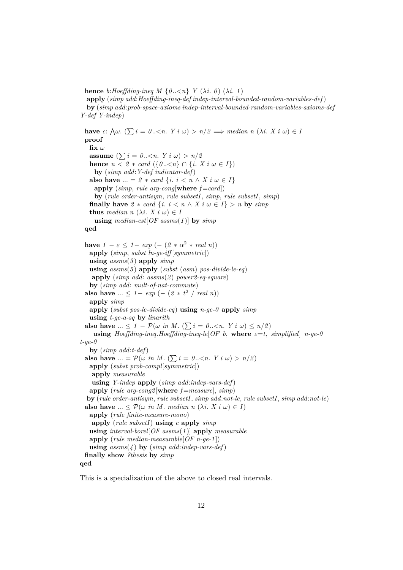**hence**  $b: Hoeffding$ *ing*  $M \{0, \lt n\}$   $Y (\lambda i, 0) (\lambda i, 1)$ **apply** (*simp add*:*Hoeffding-ineq-def indep-interval-bounded-random-variables-def*) **by** (*simp add*:*prob-space-axioms indep-interval-bounded-random-variables-axioms-def Y-def Y-indep*)

**have**  $c: \bigwedge \omega \colon (\sum i = 0 \dots < n \colon Y \in \omega) > n/2 \implies \text{median } n \ (\lambda i. \ X \in \omega) \in R$ **proof** − fix  $\omega$ **assume**  $(\sum i = 0..\langle n, Y i \omega \rangle) > n/2$ **hence**  $n \leq 2 * \text{ card } (\{0..< n\} ∩ \{i. X i \omega \in I\})$ **by** (*simp add*:*Y-def indicator-def*) **also have** ... =  $2 * card \{i : i \leq n \land X \}$   $i \omega \in I$ **apply** (*simp*, *rule arg-cong*[**where**  $f = \text{card}$ ]) **by** (*rule order-antisym*, *rule subsetI*, *simp*, *rule subsetI*, *simp*) **finally have**  $2 * card \{i : i \leq n \land X \}$   $i \omega \in I$  > *n* **by**  $simp$ **thus** *median*  $n (\lambda i. X i \omega) \in I$ **using** *median-est*[*OF assms*(*1* )] **by** *simp* **qed have**  $1 - \varepsilon \leq 1 - \exp(- (2 * \alpha^2 * \text{ real } n))$ **apply** (*simp*, *subst ln-ge-iff* [*symmetric*]) **using** *assms*(*3* ) **apply** *simp* **using** *assms*(*5* ) **apply** (*subst* (*asm*) *pos-divide-le-eq*) **apply** (*simp add*: *assms*(*2* ) *power2-eq-square*) **by** (*simp add*: *mult-of-nat-commute*) **also have** ... ≤ *1* − *exp* (− (2 \* *t*<sup>2</sup> / *real n*)) **apply** *simp* **apply** (*subst pos-le-divide-eq*) **using** *n-ge-0* **apply** *simp* **using** *t-ge-a-sq* **by** *linarith* **also have**  $\ldots \leq 1 - P(\omega \text{ in } M. (\sum i = 0..< n. Y i \omega) \leq n/2)$ **using**  $Hoeffding$ -ineq.*Hoeffding-ineq-le*[*OF b,* where  $\varepsilon = t$ , *simplified*] *n-ge-0 t-ge-0* **by** (*simp add*:*t-def*) **also have** ... =  $\mathcal{P}(\omega \text{ in } M. (\sum i = 0..< n. Y i \omega) > n/2)$ **apply** (*subst prob-compl*[*symmetric*]) **apply** *measurable* **using** *Y-indep* **apply** (*simp add*:*indep-vars-def*) **apply** (*rule arg-cong2* [**where** *f* =*measure*], *simp*) **by** (*rule order-antisym*, *rule subsetI*, *simp add*:*not-le*, *rule subsetI*, *simp add*:*not-le*) **also have** ...  $\leq \mathcal{P}(\omega \text{ in } M. \text{ median } n \ (\lambda i. \ X \text{ i } \omega) \in I)$ **apply** (*rule finite-measure-mono*) **apply** (*rule subsetI*) **using** *c* **apply** *simp* **using** *interval-borel*[*OF assms*(*1* )] **apply** *measurable* **apply** (*rule median-measurable*[*OF n-ge-1* ]) **using** *assms*(*4* ) **by** (*simp add*:*indep-vars-def*) **finally show** *?thesis* **by** *simp* **qed**

This is a specialization of the above to closed real intervals.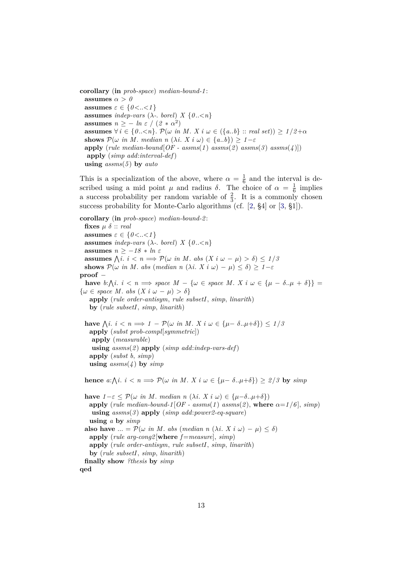**corollary** (**in** *prob-space*) *median-bound-1* : **assumes**  $\alpha > 0$ **assumes**  $\varepsilon \in \{0 < . . < 1\}$ **assumes** *indep-vars* ( $\lambda$ -. *borel*)  $X \{0, \leq n\}$ **assumes**  $n \ge -ln \ \varepsilon / (2 * \alpha^2)$ **assumes**  $\forall i \in \{0...  $\mathcal{P}(\omega \text{ in } M. X \text{ is } \omega \in (\{a..b\} :: \text{ real set}) \geq 1/2 + \alpha$$ **shows**  $\mathcal{P}(\omega \text{ in } M. \text{ median } n \ (\lambda i. \ X \text{ i } \omega) \in \{a,b\}) > 1-\varepsilon$ **apply** (*rule median-bound*[ $OF - assms(1)$   $assms(2)$   $assms(3)$   $assms(4)$ ]) **apply** (*simp add*:*interval-def*) **using** *assms*(*5* ) **by** *auto*

This is a specialization of the above, where  $\alpha = \frac{1}{6}$  $\frac{1}{6}$  and the interval is described using a mid point  $\mu$  and radius  $\delta$ . The choice of  $\alpha = \frac{1}{6}$  $\frac{1}{6}$  implies a success probability per random variable of  $\frac{2}{3}$ . It is a commonly chosen success probability for Monte-Carlo algorithms (cf. [\[2,](#page-14-1) §4] or [\[3,](#page-14-2) §1]).

**corollary** (**in** *prob-space*) *median-bound-2* : **fixes**  $\mu \delta$  :: *real* **assumes**  $\varepsilon \in \{0 \lt \ldots \lt 1\}$ **assumes** *indep-vars* ( $\lambda$ -. *borel*)  $X \{0, \leq n\}$ **assumes**  $n \geq -18 * ln \varepsilon$ **assumes**  $\bigwedge i : i < n \Longrightarrow \mathcal{P}(\omega \text{ in } M \text{ and } \omega - \mu) > \delta \leq 1/5$ **shows**  $\mathcal{P}(\omega \text{ in } M. \text{ abs } (\text{median } n \ (\lambda i. \ X \ i \ \omega) - \mu) \leq \delta) \geq 1 - \varepsilon$ **proof** − **have**  $b:\Lambda i: i < n \Longrightarrow$  *space*  $M - \{\omega \in \text{space } M: X \text{ } i \omega \in \{\mu - \delta..\mu + \delta\}\}$  $\{\omega \in space M. \text{ abs } (X \text{ i } \omega - \mu) > \delta\}$ **apply** (*rule order-antisym*, *rule subsetI*, *simp*, *linarith*) **by** (*rule subsetI*, *simp*, *linarith*) **have**  $\bigwedge i : i < n \Longrightarrow 1 - \mathcal{P}(\omega \text{ in } M. X \text{ is } \omega \in {\mu - \delta ... \mu + \delta} \} \big) \leq 1/5$ **apply** (*subst prob-compl*[*symmetric*]) **apply** (*measurable*) **using** *assms*(*2* ) **apply** (*simp add*:*indep-vars-def*) **apply** (*subst b*, *simp*) **using** *assms*(*4* ) **by** *simp* **hence**  $a:\bigwedge i: i < n \Longrightarrow \mathcal{P}(\omega \text{ in } M. X \text{ is } \omega \in {\{\mu - \delta..\mu + \delta\}}) \geq 2/3$  by  $\text{sim} p$ **have**  $1 - \varepsilon < \mathcal{P}(\omega \text{ in } M. \text{ median } n (\lambda i. X i \omega) \in {\{\mu - \delta..\mu + \delta\}})$ **apply** (*rule median-bound-1* [*OF - assms*(*1*) *assms*(*2*), **where**  $\alpha = 1/6$ ], *simp*) **using** *assms*(*3* ) **apply** (*simp add*:*power2-eq-square*) **using** *a* **by** *simp* **also have** ... =  $\mathcal{P}(\omega \text{ in } M. \text{ abs } (\text{median } n \text{ } (\lambda i. \text{ X } i \omega) - \mu) \leq \delta)$ **apply** (*rule arg-cong2* [**where** *f* =*measure*], *simp*) **apply** (*rule order-antisym*, *rule subsetI*, *simp*, *linarith*) **by** (*rule subsetI*, *simp*, *linarith*) **finally show** *?thesis* **by** *simp*

**qed**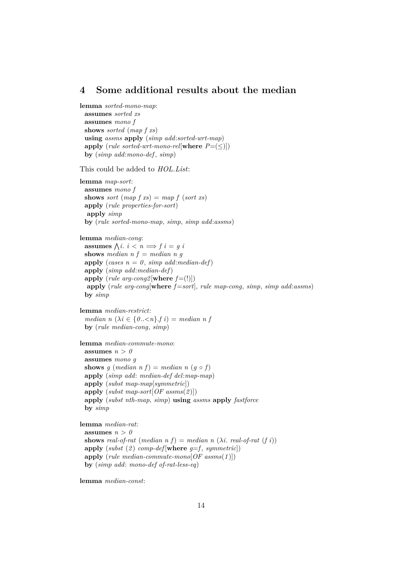## <span id="page-13-0"></span>**4 Some additional results about the median**

**lemma** *sorted-mono-map*: **assumes** *sorted xs* **assumes** *mono f* **shows** *sorted* (*map f xs*) **using** *assms* **apply** (*simp add*:*sorted-wrt-map*) **apply** (*rule sorted-wrt-mono-rel*[**where**  $P = \leq$ ]) **by** (*simp add*:*mono-def* , *simp*) This could be added to *HOL*.*List*: **lemma** *map-sort*: **assumes** *mono f* **shows** *sort* (*map*  $f(xs) = map f (sort xs)$ ) **apply** (*rule properties-for-sort*) **apply** *simp* **by** (*rule sorted-mono-map*, *simp*, *simp add*:*assms*) **lemma** *median-cong*: **assumes**  $\bigwedge i : i < n \Longrightarrow f \ i = g \ i$ **shows** *median*  $n f = median n g$ apply (*cases*  $n = 0$ *, simp add:median-def*) **apply** (*simp add*:*median-def*) **apply** (*rule arg-cong2* [**where**  $f=(!)$ ]) **apply** (*rule arg-cong*[**where** *f* =*sort*], *rule map-cong*, *simp*, *simp add*:*assms*) **by** *simp* **lemma** *median-restrict*: *median n*  $(\lambda i \in \{0..\leq n\} \cdot f \}) = median \space n \space f$ **by** (*rule median-cong*, *simp*) **lemma** *median-commute-mono*: assumes  $n > 0$ **assumes** *mono g* **shows** *g* (*median n f*) = *median n* (*g*  $\circ$  *f*) **apply** (*simp add*: *median-def del*:*map-map*) **apply** (*subst map-map*[*symmetric*]) **apply** (*subst map-sort*[*OF assms*(*2* )]) **apply** (*subst nth-map*, *simp*) **using** *assms* **apply** *fastforce* **by** *simp* **lemma** *median-rat*: assumes  $n > 0$ **shows** *real-of-rat* (*median n*  $f$ ) = *median n* ( $\lambda$ *i*. *real-of-rat* (*f i*)) **apply**  $(subst(2)$  *comp-def* [where  $q=f$ , *symmetric*]) **apply** (*rule median-commute-mono*[*OF assms*(*1* )]) **by** (*simp add*: *mono-def of-rat-less-eq*)

**lemma** *median-const*: